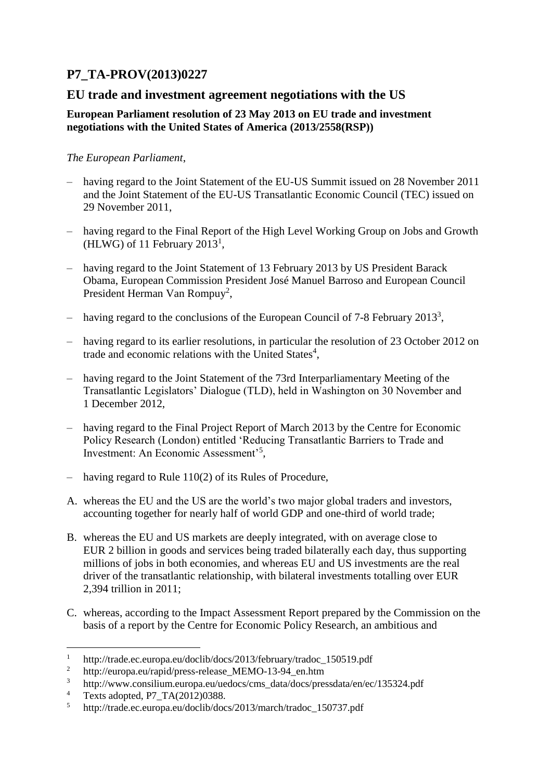# **P7\_TA-PROV(2013)0227**

# **EU trade and investment agreement negotiations with the US**

# **European Parliament resolution of 23 May 2013 on EU trade and investment negotiations with the United States of America (2013/2558(RSP))**

# *The European Parliament*,

- having regard to the Joint Statement of the EU-US Summit issued on 28 November 2011 and the Joint Statement of the EU-US Transatlantic Economic Council (TEC) issued on 29 November 2011,
- having regard to the Final Report of the High Level Working Group on Jobs and Growth (HLWG) of 11 February  $2013<sup>1</sup>$ ,
- having regard to the Joint Statement of 13 February 2013 by US President Barack Obama, European Commission President José Manuel Barroso and European Council President Herman Van Rompuy<sup>2</sup>,
- having regard to the conclusions of the European Council of 7-8 February 2013<sup>3</sup>,
- having regard to its earlier resolutions, in particular the resolution of 23 October 2012 on trade and economic relations with the United States<sup>4</sup>,
- having regard to the Joint Statement of the 73rd Interparliamentary Meeting of the Transatlantic Legislators' Dialogue (TLD), held in Washington on 30 November and 1 December 2012,
- having regard to the Final Project Report of March 2013 by the Centre for Economic Policy Research (London) entitled 'Reducing Transatlantic Barriers to Trade and Investment: An Economic Assessment'<sup>5</sup> ,
- having regard to Rule 110(2) of its Rules of Procedure,
- A. whereas the EU and the US are the world's two major global traders and investors, accounting together for nearly half of world GDP and one-third of world trade;
- B. whereas the EU and US markets are deeply integrated, with on average close to EUR 2 billion in goods and services being traded bilaterally each day, thus supporting millions of jobs in both economies, and whereas EU and US investments are the real driver of the transatlantic relationship, with bilateral investments totalling over EUR 2,394 trillion in 2011;
- C. whereas, according to the Impact Assessment Report prepared by the Commission on the basis of a report by the Centre for Economic Policy Research, an ambitious and

1

<sup>&</sup>lt;sup>1</sup> http://trade.ec.europa.eu/doclib/docs/2013/february/tradoc\_150519.pdf

http://europa.eu/rapid/press-release\_MEMO-13-94\_en.htm

<sup>&</sup>lt;sup>3</sup> http://www.consilium.europa.eu/uedocs/cms\_data/docs/pressdata/en/ec/135324.pdf<br><sup>4</sup> Texts adopted P7 TA(2012)0388

<sup>&</sup>lt;sup>4</sup> Texts adopted, P7\_TA(2012)0388.<br> $\frac{5 \text{ http://trade.e. curves, eul/colib/dec.}}{2 \text{ http://trade.e. e. curves, eul/colib/dec.}}$ 

<sup>5</sup> http://trade.ec.europa.eu/doclib/docs/2013/march/tradoc\_150737.pdf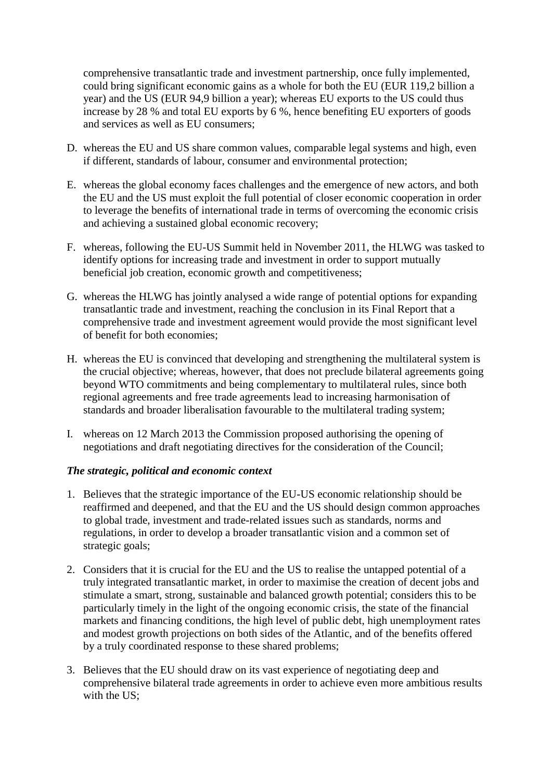comprehensive transatlantic trade and investment partnership, once fully implemented, could bring significant economic gains as a whole for both the EU (EUR 119,2 billion a year) and the US (EUR 94,9 billion a year); whereas EU exports to the US could thus increase by 28 % and total EU exports by 6 %, hence benefiting EU exporters of goods and services as well as EU consumers;

- D. whereas the EU and US share common values, comparable legal systems and high, even if different, standards of labour, consumer and environmental protection;
- E. whereas the global economy faces challenges and the emergence of new actors, and both the EU and the US must exploit the full potential of closer economic cooperation in order to leverage the benefits of international trade in terms of overcoming the economic crisis and achieving a sustained global economic recovery;
- F. whereas, following the EU-US Summit held in November 2011, the HLWG was tasked to identify options for increasing trade and investment in order to support mutually beneficial job creation, economic growth and competitiveness;
- G. whereas the HLWG has jointly analysed a wide range of potential options for expanding transatlantic trade and investment, reaching the conclusion in its Final Report that a comprehensive trade and investment agreement would provide the most significant level of benefit for both economies;
- H. whereas the EU is convinced that developing and strengthening the multilateral system is the crucial objective; whereas, however, that does not preclude bilateral agreements going beyond WTO commitments and being complementary to multilateral rules, since both regional agreements and free trade agreements lead to increasing harmonisation of standards and broader liberalisation favourable to the multilateral trading system;
- I. whereas on 12 March 2013 the Commission proposed authorising the opening of negotiations and draft negotiating directives for the consideration of the Council;

#### *The strategic, political and economic context*

- 1. Believes that the strategic importance of the EU-US economic relationship should be reaffirmed and deepened, and that the EU and the US should design common approaches to global trade, investment and trade-related issues such as standards, norms and regulations, in order to develop a broader transatlantic vision and a common set of strategic goals;
- 2. Considers that it is crucial for the EU and the US to realise the untapped potential of a truly integrated transatlantic market, in order to maximise the creation of decent jobs and stimulate a smart, strong, sustainable and balanced growth potential; considers this to be particularly timely in the light of the ongoing economic crisis, the state of the financial markets and financing conditions, the high level of public debt, high unemployment rates and modest growth projections on both sides of the Atlantic, and of the benefits offered by a truly coordinated response to these shared problems;
- 3. Believes that the EU should draw on its vast experience of negotiating deep and comprehensive bilateral trade agreements in order to achieve even more ambitious results with the US: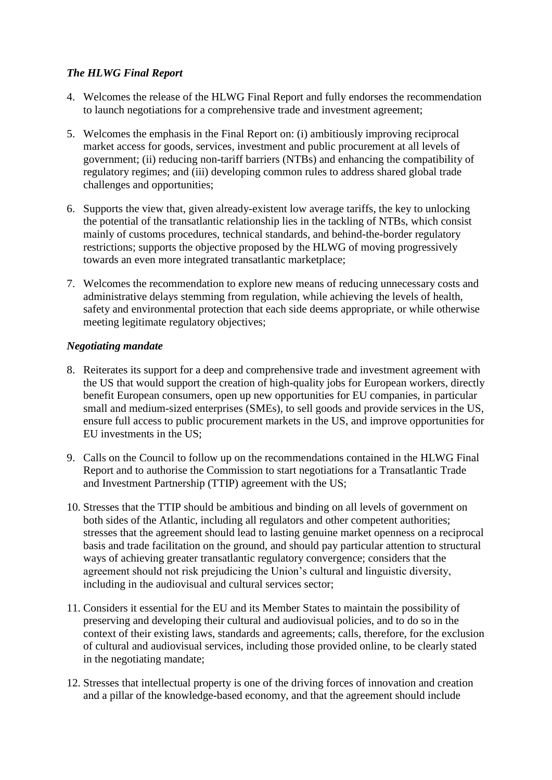## *The HLWG Final Report*

- 4. Welcomes the release of the HLWG Final Report and fully endorses the recommendation to launch negotiations for a comprehensive trade and investment agreement;
- 5. Welcomes the emphasis in the Final Report on: (i) ambitiously improving reciprocal market access for goods, services, investment and public procurement at all levels of government; (ii) reducing non-tariff barriers (NTBs) and enhancing the compatibility of regulatory regimes; and (iii) developing common rules to address shared global trade challenges and opportunities;
- 6. Supports the view that, given already-existent low average tariffs, the key to unlocking the potential of the transatlantic relationship lies in the tackling of NTBs, which consist mainly of customs procedures, technical standards, and behind-the-border regulatory restrictions; supports the objective proposed by the HLWG of moving progressively towards an even more integrated transatlantic marketplace;
- 7. Welcomes the recommendation to explore new means of reducing unnecessary costs and administrative delays stemming from regulation, while achieving the levels of health, safety and environmental protection that each side deems appropriate, or while otherwise meeting legitimate regulatory objectives;

#### *Negotiating mandate*

- 8. Reiterates its support for a deep and comprehensive trade and investment agreement with the US that would support the creation of high-quality jobs for European workers, directly benefit European consumers, open up new opportunities for EU companies, in particular small and medium-sized enterprises (SMEs), to sell goods and provide services in the US, ensure full access to public procurement markets in the US, and improve opportunities for EU investments in the US;
- 9. Calls on the Council to follow up on the recommendations contained in the HLWG Final Report and to authorise the Commission to start negotiations for a Transatlantic Trade and Investment Partnership (TTIP) agreement with the US;
- 10. Stresses that the TTIP should be ambitious and binding on all levels of government on both sides of the Atlantic, including all regulators and other competent authorities; stresses that the agreement should lead to lasting genuine market openness on a reciprocal basis and trade facilitation on the ground, and should pay particular attention to structural ways of achieving greater transatlantic regulatory convergence; considers that the agreement should not risk prejudicing the Union's cultural and linguistic diversity, including in the audiovisual and cultural services sector;
- 11. Considers it essential for the EU and its Member States to maintain the possibility of preserving and developing their cultural and audiovisual policies, and to do so in the context of their existing laws, standards and agreements; calls, therefore, for the exclusion of cultural and audiovisual services, including those provided online, to be clearly stated in the negotiating mandate;
- 12. Stresses that intellectual property is one of the driving forces of innovation and creation and a pillar of the knowledge-based economy, and that the agreement should include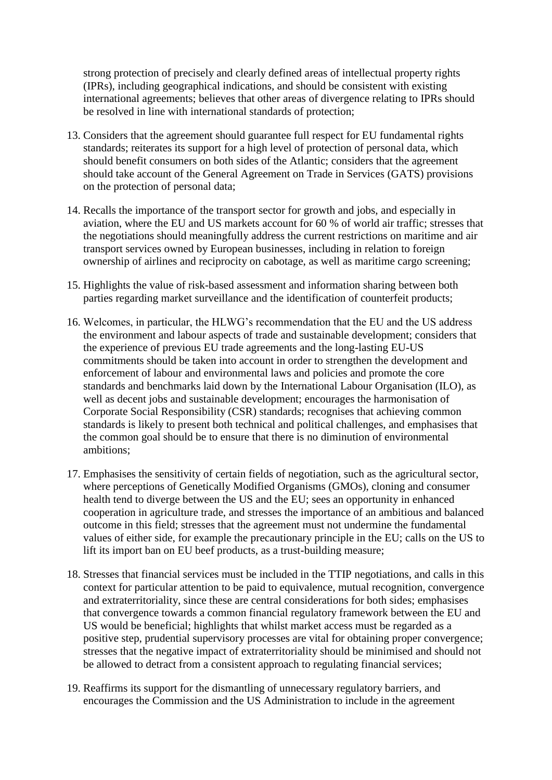strong protection of precisely and clearly defined areas of intellectual property rights (IPRs), including geographical indications, and should be consistent with existing international agreements; believes that other areas of divergence relating to IPRs should be resolved in line with international standards of protection;

- 13. Considers that the agreement should guarantee full respect for EU fundamental rights standards; reiterates its support for a high level of protection of personal data, which should benefit consumers on both sides of the Atlantic; considers that the agreement should take account of the General Agreement on Trade in Services (GATS) provisions on the protection of personal data;
- 14. Recalls the importance of the transport sector for growth and jobs, and especially in aviation, where the EU and US markets account for 60 % of world air traffic; stresses that the negotiations should meaningfully address the current restrictions on maritime and air transport services owned by European businesses, including in relation to foreign ownership of airlines and reciprocity on cabotage, as well as maritime cargo screening;
- 15. Highlights the value of risk-based assessment and information sharing between both parties regarding market surveillance and the identification of counterfeit products;
- 16. Welcomes, in particular, the HLWG's recommendation that the EU and the US address the environment and labour aspects of trade and sustainable development; considers that the experience of previous EU trade agreements and the long-lasting EU-US commitments should be taken into account in order to strengthen the development and enforcement of labour and environmental laws and policies and promote the core standards and benchmarks laid down by the International Labour Organisation (ILO), as well as decent jobs and sustainable development; encourages the harmonisation of Corporate Social Responsibility (CSR) standards; recognises that achieving common standards is likely to present both technical and political challenges, and emphasises that the common goal should be to ensure that there is no diminution of environmental ambitions;
- 17. Emphasises the sensitivity of certain fields of negotiation, such as the agricultural sector, where perceptions of Genetically Modified Organisms (GMOs), cloning and consumer health tend to diverge between the US and the EU; sees an opportunity in enhanced cooperation in agriculture trade, and stresses the importance of an ambitious and balanced outcome in this field; stresses that the agreement must not undermine the fundamental values of either side, for example the precautionary principle in the EU; calls on the US to lift its import ban on EU beef products, as a trust-building measure;
- 18. Stresses that financial services must be included in the TTIP negotiations, and calls in this context for particular attention to be paid to equivalence, mutual recognition, convergence and extraterritoriality, since these are central considerations for both sides; emphasises that convergence towards a common financial regulatory framework between the EU and US would be beneficial; highlights that whilst market access must be regarded as a positive step, prudential supervisory processes are vital for obtaining proper convergence; stresses that the negative impact of extraterritoriality should be minimised and should not be allowed to detract from a consistent approach to regulating financial services;
- 19. Reaffirms its support for the dismantling of unnecessary regulatory barriers, and encourages the Commission and the US Administration to include in the agreement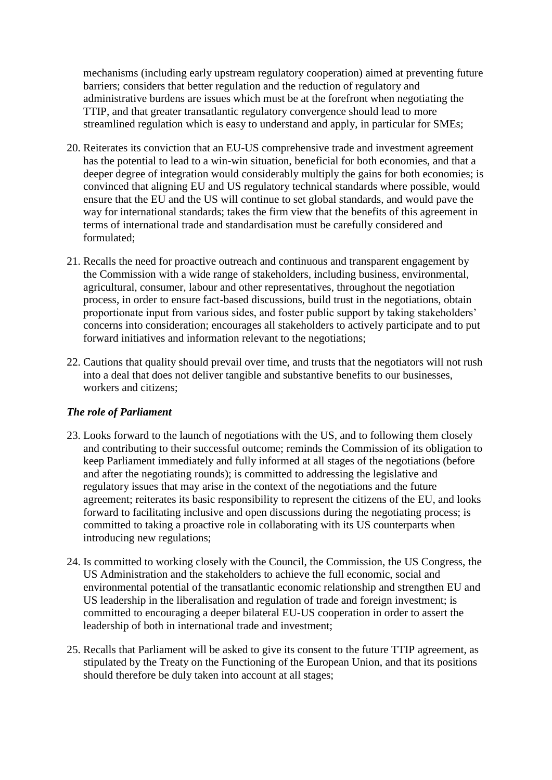mechanisms (including early upstream regulatory cooperation) aimed at preventing future barriers; considers that better regulation and the reduction of regulatory and administrative burdens are issues which must be at the forefront when negotiating the TTIP, and that greater transatlantic regulatory convergence should lead to more streamlined regulation which is easy to understand and apply, in particular for SMEs;

- 20. Reiterates its conviction that an EU-US comprehensive trade and investment agreement has the potential to lead to a win-win situation, beneficial for both economies, and that a deeper degree of integration would considerably multiply the gains for both economies; is convinced that aligning EU and US regulatory technical standards where possible, would ensure that the EU and the US will continue to set global standards, and would pave the way for international standards; takes the firm view that the benefits of this agreement in terms of international trade and standardisation must be carefully considered and formulated;
- 21. Recalls the need for proactive outreach and continuous and transparent engagement by the Commission with a wide range of stakeholders, including business, environmental, agricultural, consumer, labour and other representatives, throughout the negotiation process, in order to ensure fact-based discussions, build trust in the negotiations, obtain proportionate input from various sides, and foster public support by taking stakeholders' concerns into consideration; encourages all stakeholders to actively participate and to put forward initiatives and information relevant to the negotiations;
- 22. Cautions that quality should prevail over time, and trusts that the negotiators will not rush into a deal that does not deliver tangible and substantive benefits to our businesses, workers and citizens;

#### *The role of Parliament*

- 23. Looks forward to the launch of negotiations with the US, and to following them closely and contributing to their successful outcome; reminds the Commission of its obligation to keep Parliament immediately and fully informed at all stages of the negotiations (before and after the negotiating rounds); is committed to addressing the legislative and regulatory issues that may arise in the context of the negotiations and the future agreement; reiterates its basic responsibility to represent the citizens of the EU, and looks forward to facilitating inclusive and open discussions during the negotiating process; is committed to taking a proactive role in collaborating with its US counterparts when introducing new regulations;
- 24. Is committed to working closely with the Council, the Commission, the US Congress, the US Administration and the stakeholders to achieve the full economic, social and environmental potential of the transatlantic economic relationship and strengthen EU and US leadership in the liberalisation and regulation of trade and foreign investment; is committed to encouraging a deeper bilateral EU-US cooperation in order to assert the leadership of both in international trade and investment;
- 25. Recalls that Parliament will be asked to give its consent to the future TTIP agreement, as stipulated by the Treaty on the Functioning of the European Union, and that its positions should therefore be duly taken into account at all stages;